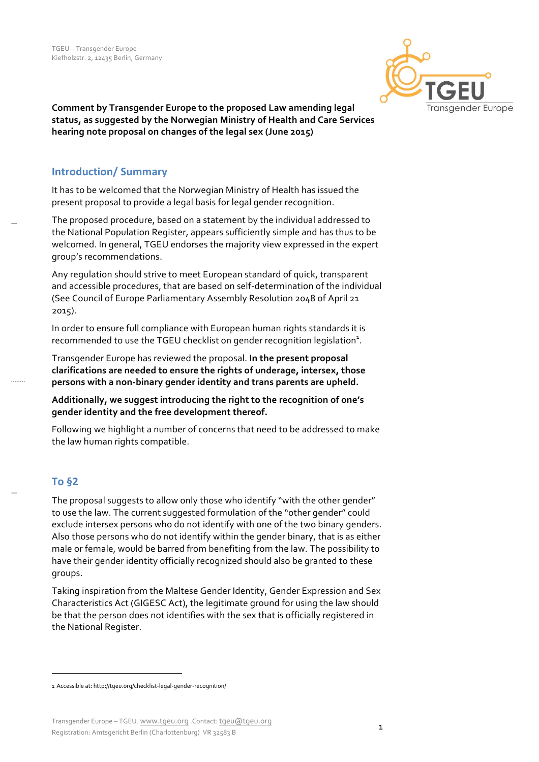

Comment by Transgender Europe to the proposed Law amending legal status, as suggested by the Norwegian Ministry of Health and Care Services **hearing note proposal on changes of the legal sex (June 2015)** 

#### **Introduction/ Summary**

It has to be welcomed that the Norwegian Ministry of Health has issued the present proposal to provide a legal basis for legal gender recognition.

The proposed procedure, based on a statement by the individual addressed to the National Population Register, appears sufficiently simple and has thus to be welcomed. In general, TGEU endorses the majority view expressed in the expert group's recommendations.

Any regulation should strive to meet European standard of quick, transparent and accessible procedures, that are based on self-determination of the individual (See Council of Europe Parliamentary Assembly Resolution 2048 of April 21 2015). 

In order to ensure full compliance with European human rights standards it is recommended to use the TGEU checklist on gender recognition legislation $^1$ .

Transgender Europe has reviewed the proposal. In the present proposal clarifications are needed to ensure the rights of underage, intersex, those persons with a non-binary gender identity and trans parents are upheld.

Additionally, we suggest introducing the right to the recognition of one's gender identity and the free development thereof.

Following we highlight a number of concerns that need to be addressed to make the law human rights compatible.

# **To §2**

The proposal suggests to allow only those who identify "with the other gender" to use the law. The current suggested formulation of the "other gender" could exclude intersex persons who do not identify with one of the two binary genders. Also those persons who do not identify within the gender binary, that is as either male or female, would be barred from benefiting from the law. The possibility to have their gender identity officially recognized should also be granted to these groups.

Taking inspiration from the Maltese Gender Identity, Gender Expression and Sex Characteristics Act (GIGESC Act), the legitimate ground for using the law should be that the person does not identifies with the sex that is officially registered in the National Register.

<u> 1989 - Jan Samuel Barbara, margaret e</u>

<sup>1</sup> Accessible at: http://tgeu.org/checklist-legal-gender-recognition/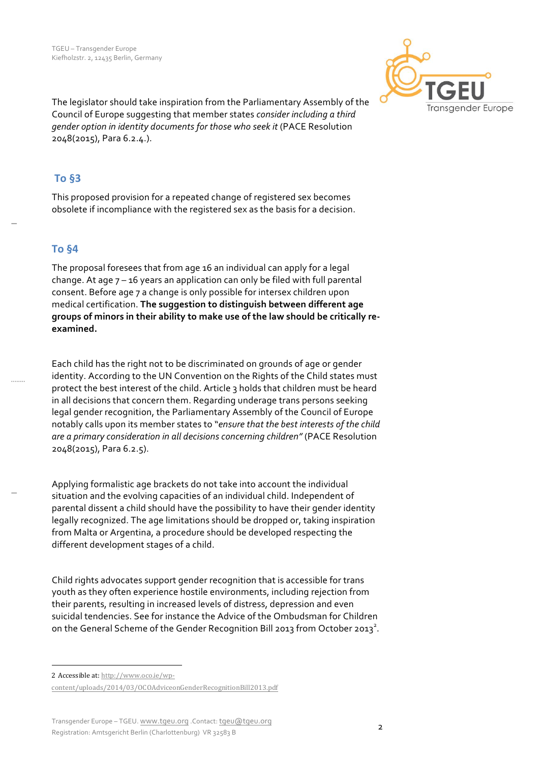

The legislator should take inspiration from the Parliamentary Assembly of the Council of Europe suggesting that member states *consider including a third gender option in identity documents for those who seek it* (PACE Resolution 2048(2015), Para 6.2.4.).

## **To §3**

This proposed provision for a repeated change of registered sex becomes obsolete if incompliance with the registered sex as the basis for a decision.

# **To §4**

The proposal foresees that from age 16 an individual can apply for a legal change. At age  $7 - 16$  years an application can only be filed with full parental consent. Before age 7 a change is only possible for intersex children upon medical certification. The suggestion to distinguish between different age groups of minors in their ability to make use of the law should be critically re**examined.**

Each child has the right not to be discriminated on grounds of age or gender identity. According to the UN Convention on the Rights of the Child states must protect the best interest of the child. Article 3 holds that children must be heard in all decisions that concern them. Regarding underage trans persons seeking legal gender recognition, the Parliamentary Assembly of the Council of Europe notably calls upon its member states to "ensure that the best interests of the child are a primary consideration in all decisions concerning children" (PACE Resolution 2048(2015), Para 6.2.5).

Applying formalistic age brackets do not take into account the individual situation and the evolving capacities of an individual child. Independent of parental dissent a child should have the possibility to have their gender identity legally recognized. The age limitations should be dropped or, taking inspiration from Malta or Argentina, a procedure should be developed respecting the different development stages of a child.

Child rights advocates support gender recognition that is accessible for trans youth as they often experience hostile environments, including rejection from their parents, resulting in increased levels of distress, depression and even suicidal tendencies. See for instance the Advice of the Ombudsman for Children on the General Scheme of the Gender Recognition Bill 2013 from October 2013<sup>2</sup>.

<sup>&</sup>lt;u> 1989 - Jan Samuel Barbara, margaret e</u> 2 Accessible at: http://www.oco.ie/wp-

content/uploads/2014/03/OCOAdviceonGenderRecognitionBill2013.pdf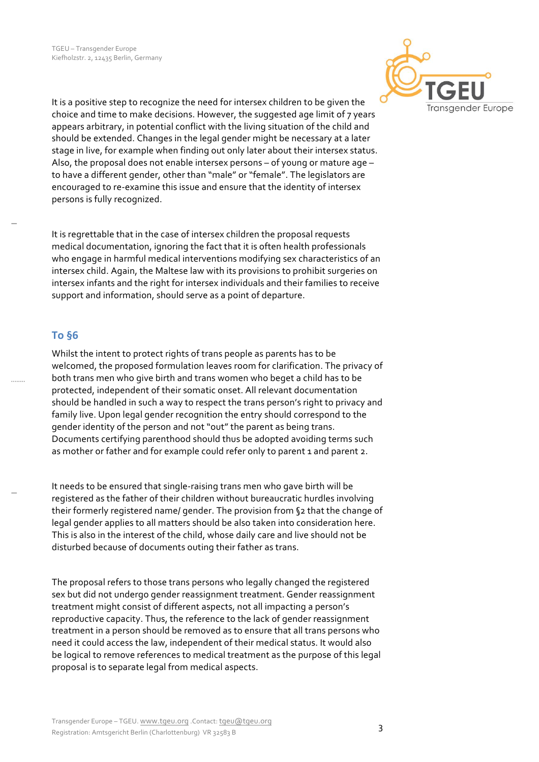

It is a positive step to recognize the need for intersex children to be given the choice and time to make decisions. However, the suggested age limit of 7 years appears arbitrary, in potential conflict with the living situation of the child and should be extended. Changes in the legal gender might be necessary at a later stage in live, for example when finding out only later about their intersex status. Also, the proposal does not enable intersex persons  $-$  of young or mature age  $$ to have a different gender, other than "male" or "female". The legislators are encouraged to re-examine this issue and ensure that the identity of intersex persons is fully recognized.

It is regrettable that in the case of intersex children the proposal requests medical documentation, ignoring the fact that it is often health professionals who engage in harmful medical interventions modifying sex characteristics of an intersex child. Again, the Maltese law with its provisions to prohibit surgeries on intersex infants and the right for intersex individuals and their families to receive support and information, should serve as a point of departure.

## **To §6**

Whilst the intent to protect rights of trans people as parents has to be welcomed, the proposed formulation leaves room for clarification. The privacy of both trans men who give birth and trans women who beget a child has to be protected, independent of their somatic onset. All relevant documentation should be handled in such a way to respect the trans person's right to privacy and family live. Upon legal gender recognition the entry should correspond to the gender identity of the person and not "out" the parent as being trans. Documents certifying parenthood should thus be adopted avoiding terms such as mother or father and for example could refer only to parent 1 and parent 2.

It needs to be ensured that single-raising trans men who gave birth will be registered as the father of their children without bureaucratic hurdles involving their formerly registered name/ gender. The provision from §2 that the change of legal gender applies to all matters should be also taken into consideration here. This is also in the interest of the child, whose daily care and live should not be disturbed because of documents outing their father as trans.

The proposal refers to those trans persons who legally changed the registered sex but did not undergo gender reassignment treatment. Gender reassignment treatment might consist of different aspects, not all impacting a person's reproductive capacity. Thus, the reference to the lack of gender reassignment treatment in a person should be removed as to ensure that all trans persons who need it could access the law, independent of their medical status. It would also be logical to remove references to medical treatment as the purpose of this legal proposal is to separate legal from medical aspects.